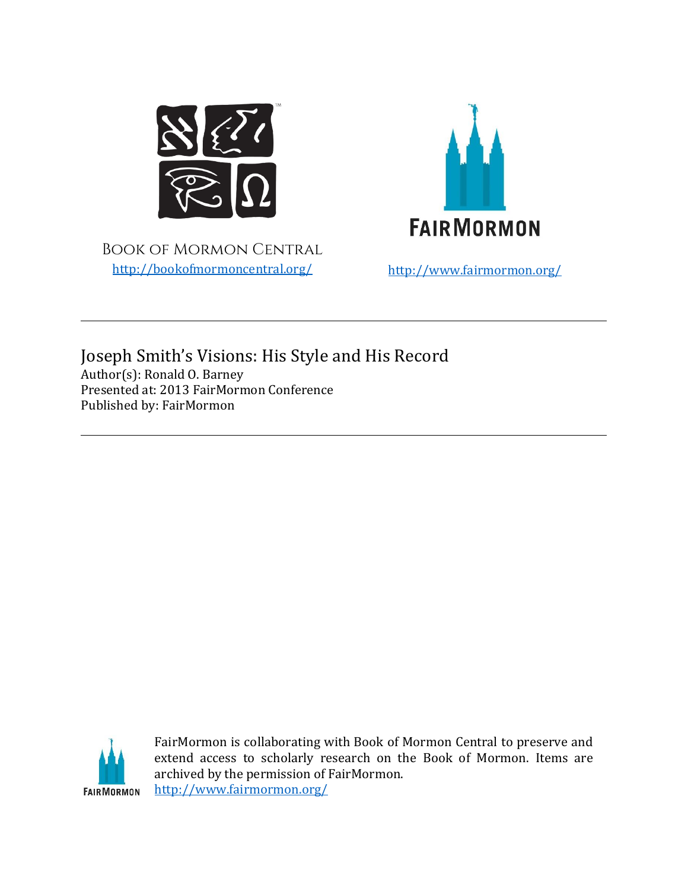

Book of Mormon Central <http://bookofmormoncentral.org/> <http://www.fairmormon.org/>



Joseph Smith's Visions: His Style and His Record Author(s): Ronald O. Barney Presented at: 2013 FairMormon Conference Published by: FairMormon



FairMormon is collaborating with Book of Mormon Central to preserve and extend access to scholarly research on the Book of Mormon. Items are archived by the permission of FairMormon. <http://www.fairmormon.org/>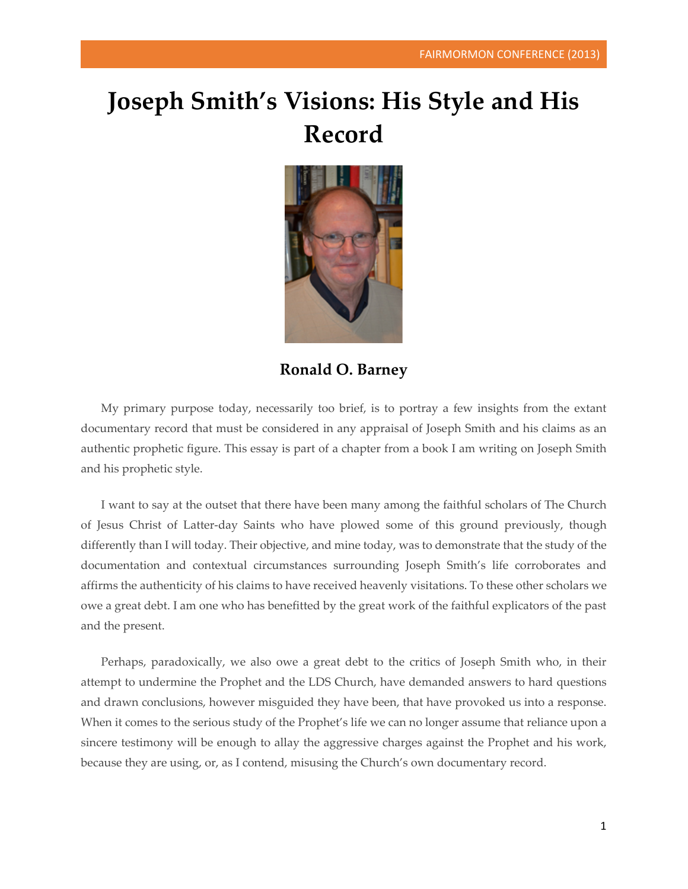## **Joseph Smith's Visions: His Style and His Record**



**Ronald O. Barney**

My primary purpose today, necessarily too brief, is to portray a few insights from the extant documentary record that must be considered in any appraisal of Joseph Smith and his claims as an authentic prophetic figure. This essay is part of a chapter from a book I am writing on Joseph Smith and his prophetic style.

I want to say at the outset that there have been many among the faithful scholars of The Church of Jesus Christ of Latter-day Saints who have plowed some of this ground previously, though differently than I will today. Their objective, and mine today, was to demonstrate that the study of the documentation and contextual circumstances surrounding Joseph Smith's life corroborates and affirms the authenticity of his claims to have received heavenly visitations. To these other scholars we owe a great debt. I am one who has benefitted by the great work of the faithful explicators of the past and the present.

Perhaps, paradoxically, we also owe a great debt to the critics of Joseph Smith who, in their attempt to undermine the Prophet and the LDS Church, have demanded answers to hard questions and drawn conclusions, however misguided they have been, that have provoked us into a response. When it comes to the serious study of the Prophet's life we can no longer assume that reliance upon a sincere testimony will be enough to allay the aggressive charges against the Prophet and his work, because they are using, or, as I contend, misusing the Church's own documentary record.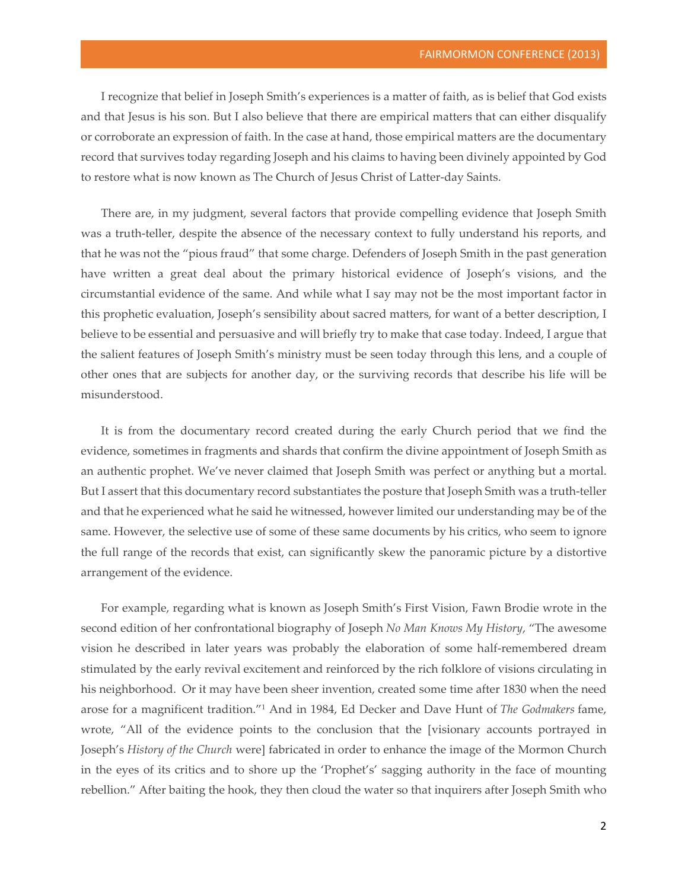I recognize that belief in Joseph Smith's experiences is a matter of faith, as is belief that God exists and that Jesus is his son. But I also believe that there are empirical matters that can either disqualify or corroborate an expression of faith. In the case at hand, those empirical matters are the documentary record that survives today regarding Joseph and his claims to having been divinely appointed by God to restore what is now known as The Church of Jesus Christ of Latter-day Saints.

There are, in my judgment, several factors that provide compelling evidence that Joseph Smith was a truth-teller, despite the absence of the necessary context to fully understand his reports, and that he was not the "pious fraud" that some charge. Defenders of Joseph Smith in the past generation have written a great deal about the primary historical evidence of Joseph's visions, and the circumstantial evidence of the same. And while what I say may not be the most important factor in this prophetic evaluation, Joseph's sensibility about sacred matters, for want of a better description, I believe to be essential and persuasive and will briefly try to make that case today. Indeed, I argue that the salient features of Joseph Smith's ministry must be seen today through this lens, and a couple of other ones that are subjects for another day, or the surviving records that describe his life will be misunderstood.

It is from the documentary record created during the early Church period that we find the evidence, sometimes in fragments and shards that confirm the divine appointment of Joseph Smith as an authentic prophet. We've never claimed that Joseph Smith was perfect or anything but a mortal. But I assert that this documentary record substantiates the posture that Joseph Smith was a truth-teller and that he experienced what he said he witnessed, however limited our understanding may be of the same. However, the selective use of some of these same documents by his critics, who seem to ignore the full range of the records that exist, can significantly skew the panoramic picture by a distortive arrangement of the evidence.

For example, regarding what is known as Joseph Smith's First Vision, Fawn Brodie wrote in the second edition of her confrontational biography of Joseph *No Man Knows My History*, "The awesome vision he described in later years was probably the elaboration of some half-remembered dream stimulated by the early revival excitement and reinforced by the rich folklore of visions circulating in his neighborhood. Or it may have been sheer invention, created some time after 1830 when the need arose for a magnificent tradition."1 And in 1984, Ed Decker and Dave Hunt of *The Godmakers* fame, wrote, "All of the evidence points to the conclusion that the [visionary accounts portrayed in Joseph's *History of the Church* were] fabricated in order to enhance the image of the Mormon Church in the eyes of its critics and to shore up the 'Prophet's' sagging authority in the face of mounting rebellion." After baiting the hook, they then cloud the water so that inquirers after Joseph Smith who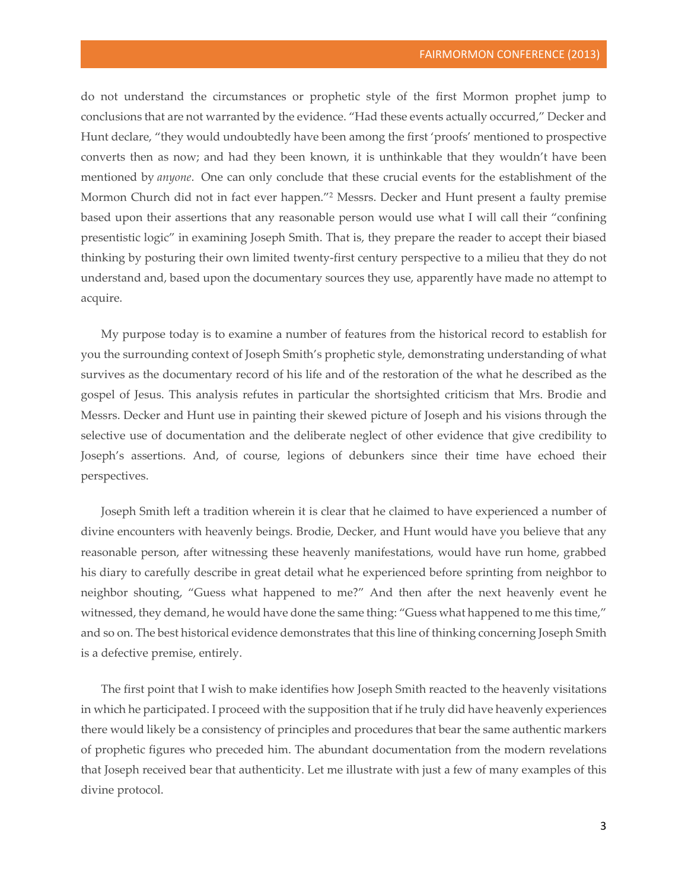do not understand the circumstances or prophetic style of the first Mormon prophet jump to conclusions that are not warranted by the evidence. "Had these events actually occurred," Decker and Hunt declare, "they would undoubtedly have been among the first 'proofs' mentioned to prospective converts then as now; and had they been known, it is unthinkable that they wouldn't have been mentioned by *anyone*. One can only conclude that these crucial events for the establishment of the Mormon Church did not in fact ever happen."2 Messrs. Decker and Hunt present a faulty premise based upon their assertions that any reasonable person would use what I will call their "confining presentistic logic" in examining Joseph Smith. That is, they prepare the reader to accept their biased thinking by posturing their own limited twenty-first century perspective to a milieu that they do not understand and, based upon the documentary sources they use, apparently have made no attempt to acquire.

My purpose today is to examine a number of features from the historical record to establish for you the surrounding context of Joseph Smith's prophetic style, demonstrating understanding of what survives as the documentary record of his life and of the restoration of the what he described as the gospel of Jesus. This analysis refutes in particular the shortsighted criticism that Mrs. Brodie and Messrs. Decker and Hunt use in painting their skewed picture of Joseph and his visions through the selective use of documentation and the deliberate neglect of other evidence that give credibility to Joseph's assertions. And, of course, legions of debunkers since their time have echoed their perspectives.

Joseph Smith left a tradition wherein it is clear that he claimed to have experienced a number of divine encounters with heavenly beings. Brodie, Decker, and Hunt would have you believe that any reasonable person, after witnessing these heavenly manifestations, would have run home, grabbed his diary to carefully describe in great detail what he experienced before sprinting from neighbor to neighbor shouting, "Guess what happened to me?" And then after the next heavenly event he witnessed, they demand, he would have done the same thing: "Guess what happened to me this time," and so on. The best historical evidence demonstrates that this line of thinking concerning Joseph Smith is a defective premise, entirely.

The first point that I wish to make identifies how Joseph Smith reacted to the heavenly visitations in which he participated. I proceed with the supposition that if he truly did have heavenly experiences there would likely be a consistency of principles and procedures that bear the same authentic markers of prophetic figures who preceded him. The abundant documentation from the modern revelations that Joseph received bear that authenticity. Let me illustrate with just a few of many examples of this divine protocol.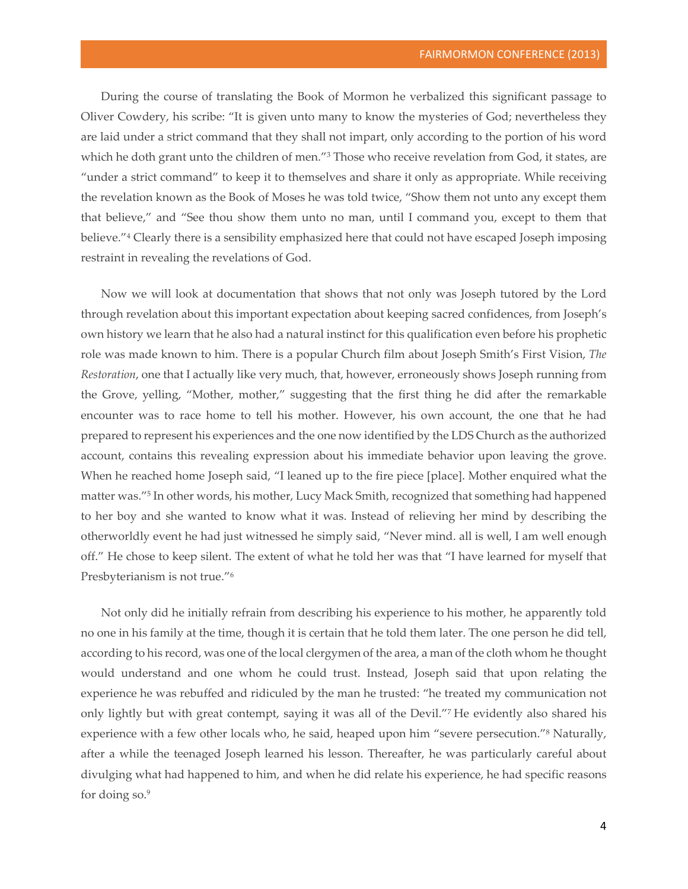During the course of translating the Book of Mormon he verbalized this significant passage to Oliver Cowdery, his scribe: "It is given unto many to know the mysteries of God; nevertheless they are laid under a strict command that they shall not impart, only according to the portion of his word which he doth grant unto the children of men."<sup>3</sup> Those who receive revelation from God, it states, are "under a strict command" to keep it to themselves and share it only as appropriate. While receiving the revelation known as the Book of Moses he was told twice, "Show them not unto any except them that believe," and "See thou show them unto no man, until I command you, except to them that believe."4 Clearly there is a sensibility emphasized here that could not have escaped Joseph imposing restraint in revealing the revelations of God.

Now we will look at documentation that shows that not only was Joseph tutored by the Lord through revelation about this important expectation about keeping sacred confidences, from Joseph's own history we learn that he also had a natural instinct for this qualification even before his prophetic role was made known to him. There is a popular Church film about Joseph Smith's First Vision, *The Restoration*, one that I actually like very much, that, however, erroneously shows Joseph running from the Grove, yelling, "Mother, mother," suggesting that the first thing he did after the remarkable encounter was to race home to tell his mother. However, his own account, the one that he had prepared to represent his experiences and the one now identified by the LDS Church as the authorized account, contains this revealing expression about his immediate behavior upon leaving the grove. When he reached home Joseph said, "I leaned up to the fire piece [place]. Mother enquired what the matter was."5 In other words, his mother, Lucy Mack Smith, recognized that something had happened to her boy and she wanted to know what it was. Instead of relieving her mind by describing the otherworldly event he had just witnessed he simply said, "Never mind. all is well, I am well enough off." He chose to keep silent. The extent of what he told her was that "I have learned for myself that Presbyterianism is not true."6

Not only did he initially refrain from describing his experience to his mother, he apparently told no one in his family at the time, though it is certain that he told them later. The one person he did tell, according to his record, was one of the local clergymen of the area, a man of the cloth whom he thought would understand and one whom he could trust. Instead, Joseph said that upon relating the experience he was rebuffed and ridiculed by the man he trusted: "he treated my communication not only lightly but with great contempt, saying it was all of the Devil."7 He evidently also shared his experience with a few other locals who, he said, heaped upon him "severe persecution."8 Naturally, after a while the teenaged Joseph learned his lesson. Thereafter, he was particularly careful about divulging what had happened to him, and when he did relate his experience, he had specific reasons for doing so.9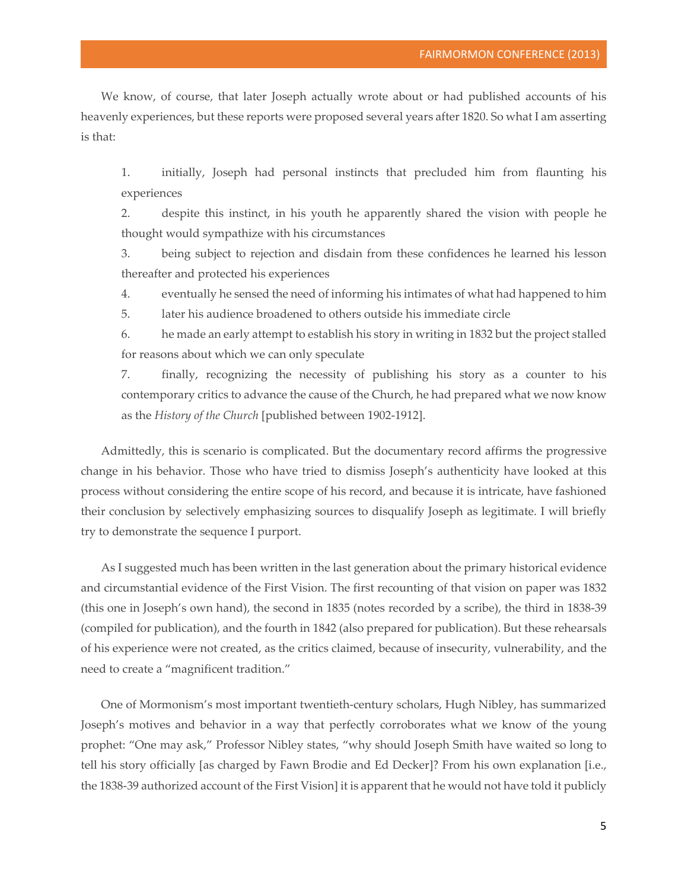We know, of course, that later Joseph actually wrote about or had published accounts of his heavenly experiences, but these reports were proposed several years after 1820. So what I am asserting is that:

1. initially, Joseph had personal instincts that precluded him from flaunting his experiences

2. despite this instinct, in his youth he apparently shared the vision with people he thought would sympathize with his circumstances

3. being subject to rejection and disdain from these confidences he learned his lesson thereafter and protected his experiences

4. eventually he sensed the need of informing his intimates of what had happened to him

5. later his audience broadened to others outside his immediate circle

6. he made an early attempt to establish his story in writing in 1832 but the project stalled for reasons about which we can only speculate

7. finally, recognizing the necessity of publishing his story as a counter to his contemporary critics to advance the cause of the Church, he had prepared what we now know as the *History of the Church* [published between 1902-1912].

Admittedly, this is scenario is complicated. But the documentary record affirms the progressive change in his behavior. Those who have tried to dismiss Joseph's authenticity have looked at this process without considering the entire scope of his record, and because it is intricate, have fashioned their conclusion by selectively emphasizing sources to disqualify Joseph as legitimate. I will briefly try to demonstrate the sequence I purport.

As I suggested much has been written in the last generation about the primary historical evidence and circumstantial evidence of the First Vision. The first recounting of that vision on paper was 1832 (this one in Joseph's own hand), the second in 1835 (notes recorded by a scribe), the third in 1838-39 (compiled for publication), and the fourth in 1842 (also prepared for publication). But these rehearsals of his experience were not created, as the critics claimed, because of insecurity, vulnerability, and the need to create a "magnificent tradition."

One of Mormonism's most important twentieth-century scholars, Hugh Nibley, has summarized Joseph's motives and behavior in a way that perfectly corroborates what we know of the young prophet: "One may ask," Professor Nibley states, "why should Joseph Smith have waited so long to tell his story officially [as charged by Fawn Brodie and Ed Decker]? From his own explanation [i.e., the 1838-39 authorized account of the First Vision] it is apparent that he would not have told it publicly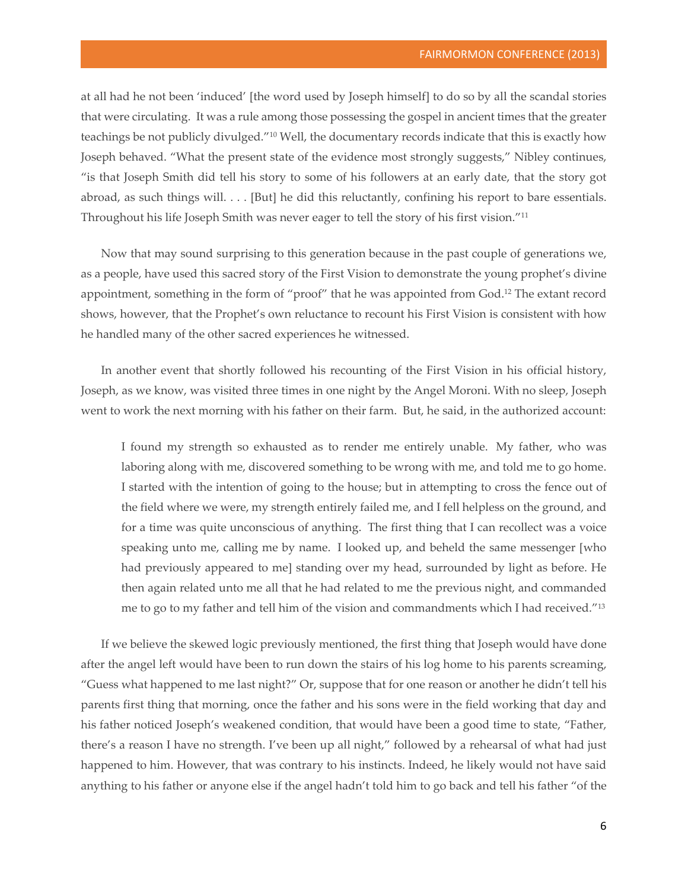at all had he not been 'induced' [the word used by Joseph himself] to do so by all the scandal stories that were circulating. It was a rule among those possessing the gospel in ancient times that the greater teachings be not publicly divulged."10 Well, the documentary records indicate that this is exactly how Joseph behaved. "What the present state of the evidence most strongly suggests," Nibley continues, "is that Joseph Smith did tell his story to some of his followers at an early date, that the story got abroad, as such things will. . . . [But] he did this reluctantly, confining his report to bare essentials. Throughout his life Joseph Smith was never eager to tell the story of his first vision."11

Now that may sound surprising to this generation because in the past couple of generations we, as a people, have used this sacred story of the First Vision to demonstrate the young prophet's divine appointment, something in the form of "proof" that he was appointed from God.12 The extant record shows, however, that the Prophet's own reluctance to recount his First Vision is consistent with how he handled many of the other sacred experiences he witnessed.

In another event that shortly followed his recounting of the First Vision in his official history, Joseph, as we know, was visited three times in one night by the Angel Moroni. With no sleep, Joseph went to work the next morning with his father on their farm. But, he said, in the authorized account:

I found my strength so exhausted as to render me entirely unable. My father, who was laboring along with me, discovered something to be wrong with me, and told me to go home. I started with the intention of going to the house; but in attempting to cross the fence out of the field where we were, my strength entirely failed me, and I fell helpless on the ground, and for a time was quite unconscious of anything. The first thing that I can recollect was a voice speaking unto me, calling me by name. I looked up, and beheld the same messenger [who had previously appeared to me] standing over my head, surrounded by light as before. He then again related unto me all that he had related to me the previous night, and commanded me to go to my father and tell him of the vision and commandments which I had received."13

If we believe the skewed logic previously mentioned, the first thing that Joseph would have done after the angel left would have been to run down the stairs of his log home to his parents screaming, "Guess what happened to me last night?" Or, suppose that for one reason or another he didn't tell his parents first thing that morning, once the father and his sons were in the field working that day and his father noticed Joseph's weakened condition, that would have been a good time to state, "Father, there's a reason I have no strength. I've been up all night," followed by a rehearsal of what had just happened to him. However, that was contrary to his instincts. Indeed, he likely would not have said anything to his father or anyone else if the angel hadn't told him to go back and tell his father "of the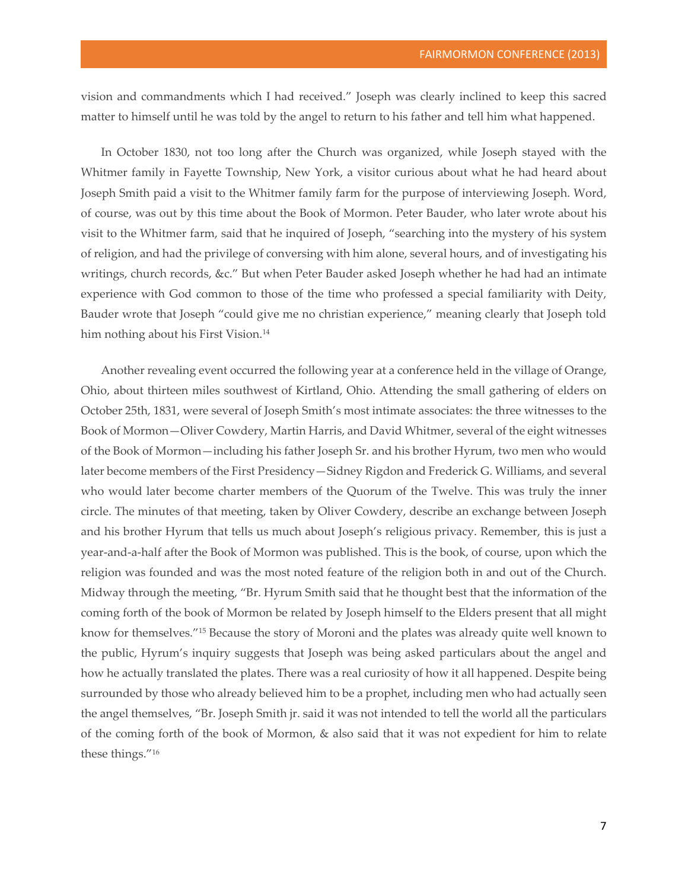vision and commandments which I had received." Joseph was clearly inclined to keep this sacred matter to himself until he was told by the angel to return to his father and tell him what happened.

In October 1830, not too long after the Church was organized, while Joseph stayed with the Whitmer family in Fayette Township, New York, a visitor curious about what he had heard about Joseph Smith paid a visit to the Whitmer family farm for the purpose of interviewing Joseph. Word, of course, was out by this time about the Book of Mormon. Peter Bauder, who later wrote about his visit to the Whitmer farm, said that he inquired of Joseph, "searching into the mystery of his system of religion, and had the privilege of conversing with him alone, several hours, and of investigating his writings, church records, &c." But when Peter Bauder asked Joseph whether he had had an intimate experience with God common to those of the time who professed a special familiarity with Deity, Bauder wrote that Joseph "could give me no christian experience," meaning clearly that Joseph told him nothing about his First Vision.<sup>14</sup>

Another revealing event occurred the following year at a conference held in the village of Orange, Ohio, about thirteen miles southwest of Kirtland, Ohio. Attending the small gathering of elders on October 25th, 1831, were several of Joseph Smith's most intimate associates: the three witnesses to the Book of Mormon—Oliver Cowdery, Martin Harris, and David Whitmer, several of the eight witnesses of the Book of Mormon—including his father Joseph Sr. and his brother Hyrum, two men who would later become members of the First Presidency—Sidney Rigdon and Frederick G. Williams, and several who would later become charter members of the Quorum of the Twelve. This was truly the inner circle. The minutes of that meeting, taken by Oliver Cowdery, describe an exchange between Joseph and his brother Hyrum that tells us much about Joseph's religious privacy. Remember, this is just a year-and-a-half after the Book of Mormon was published. This is the book, of course, upon which the religion was founded and was the most noted feature of the religion both in and out of the Church. Midway through the meeting, "Br. Hyrum Smith said that he thought best that the information of the coming forth of the book of Mormon be related by Joseph himself to the Elders present that all might know for themselves."15 Because the story of Moroni and the plates was already quite well known to the public, Hyrum's inquiry suggests that Joseph was being asked particulars about the angel and how he actually translated the plates. There was a real curiosity of how it all happened. Despite being surrounded by those who already believed him to be a prophet, including men who had actually seen the angel themselves, "Br. Joseph Smith jr. said it was not intended to tell the world all the particulars of the coming forth of the book of Mormon, & also said that it was not expedient for him to relate these things."16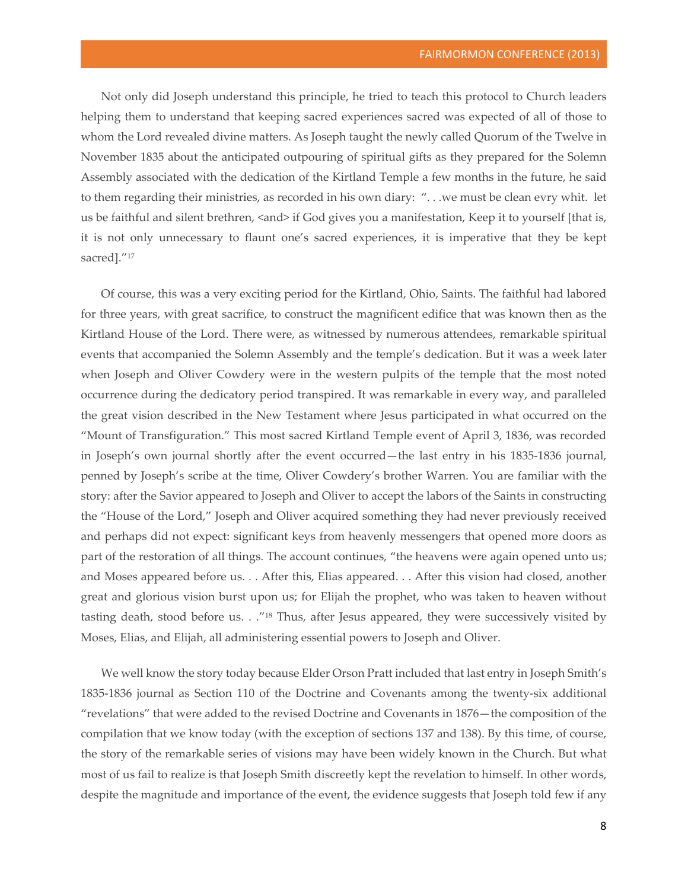Not only did Joseph understand this principle, he tried to teach this protocol to Church leaders helping them to understand that keeping sacred experiences sacred was expected of all of those to whom the Lord revealed divine matters. As Joseph taught the newly called Quorum of the Twelve in November 1835 about the anticipated outpouring of spiritual gifts as they prepared for the Solemn Assembly associated with the dedication of the Kirtland Temple a few months in the future, he said to them regarding their ministries, as recorded in his own diary: ". . .we must be clean evry whit. let us be faithful and silent brethren, <and> if God gives you a manifestation, Keep it to yourself [that is, it is not only unnecessary to flaunt one's sacred experiences, it is imperative that they be kept sacred]."<sup>17</sup>

Of course, this was a very exciting period for the Kirtland, Ohio, Saints. The faithful had labored for three years, with great sacrifice, to construct the magnificent edifice that was known then as the Kirtland House of the Lord. There were, as witnessed by numerous attendees, remarkable spiritual events that accompanied the Solemn Assembly and the temple's dedication. But it was a week later when Joseph and Oliver Cowdery were in the western pulpits of the temple that the most noted occurrence during the dedicatory period transpired. It was remarkable in every way, and paralleled the great vision described in the New Testament where Jesus participated in what occurred on the "Mount of Transfiguration." This most sacred Kirtland Temple event of April 3, 1836, was recorded in Joseph's own journal shortly after the event occurred—the last entry in his 1835-1836 journal, penned by Joseph's scribe at the time, Oliver Cowdery's brother Warren. You are familiar with the story: after the Savior appeared to Joseph and Oliver to accept the labors of the Saints in constructing the "House of the Lord," Joseph and Oliver acquired something they had never previously received and perhaps did not expect: significant keys from heavenly messengers that opened more doors as part of the restoration of all things. The account continues, "the heavens were again opened unto us; and Moses appeared before us. . . After this, Elias appeared. . . After this vision had closed, another great and glorious vision burst upon us; for Elijah the prophet, who was taken to heaven without tasting death, stood before us. . ."18 Thus, after Jesus appeared, they were successively visited by Moses, Elias, and Elijah, all administering essential powers to Joseph and Oliver.

We well know the story today because Elder Orson Pratt included that last entry in Joseph Smith's 1835-1836 journal as Section 110 of the Doctrine and Covenants among the twenty-six additional "revelations" that were added to the revised Doctrine and Covenants in 1876—the composition of the compilation that we know today (with the exception of sections 137 and 138). By this time, of course, the story of the remarkable series of visions may have been widely known in the Church. But what most of us fail to realize is that Joseph Smith discreetly kept the revelation to himself. In other words, despite the magnitude and importance of the event, the evidence suggests that Joseph told few if any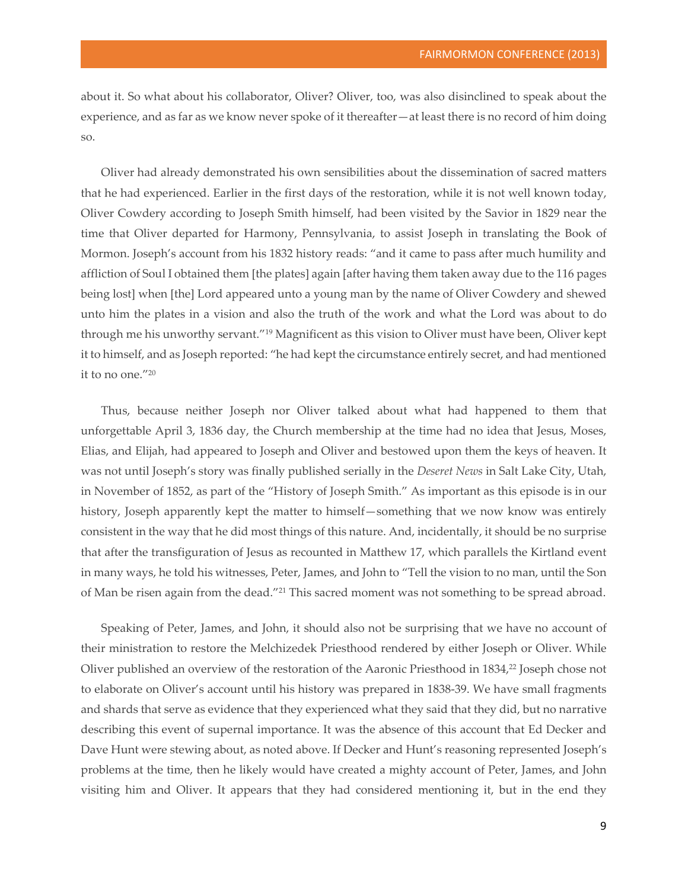about it. So what about his collaborator, Oliver? Oliver, too, was also disinclined to speak about the experience, and as far as we know never spoke of it thereafter—at least there is no record of him doing so.

Oliver had already demonstrated his own sensibilities about the dissemination of sacred matters that he had experienced. Earlier in the first days of the restoration, while it is not well known today, Oliver Cowdery according to Joseph Smith himself, had been visited by the Savior in 1829 near the time that Oliver departed for Harmony, Pennsylvania, to assist Joseph in translating the Book of Mormon. Joseph's account from his 1832 history reads: "and it came to pass after much humility and affliction of Soul I obtained them [the plates] again [after having them taken away due to the 116 pages being lost] when [the] Lord appeared unto a young man by the name of Oliver Cowdery and shewed unto him the plates in a vision and also the truth of the work and what the Lord was about to do through me his unworthy servant."19 Magnificent as this vision to Oliver must have been, Oliver kept it to himself, and as Joseph reported: "he had kept the circumstance entirely secret, and had mentioned it to no one."20

Thus, because neither Joseph nor Oliver talked about what had happened to them that unforgettable April 3, 1836 day, the Church membership at the time had no idea that Jesus, Moses, Elias, and Elijah, had appeared to Joseph and Oliver and bestowed upon them the keys of heaven. It was not until Joseph's story was finally published serially in the *Deseret News* in Salt Lake City, Utah, in November of 1852, as part of the "History of Joseph Smith." As important as this episode is in our history, Joseph apparently kept the matter to himself—something that we now know was entirely consistent in the way that he did most things of this nature. And, incidentally, it should be no surprise that after the transfiguration of Jesus as recounted in Matthew 17, which parallels the Kirtland event in many ways, he told his witnesses, Peter, James, and John to "Tell the vision to no man, until the Son of Man be risen again from the dead."<sup>21</sup> This sacred moment was not something to be spread abroad.

Speaking of Peter, James, and John, it should also not be surprising that we have no account of their ministration to restore the Melchizedek Priesthood rendered by either Joseph or Oliver. While Oliver published an overview of the restoration of the Aaronic Priesthood in 1834,22 Joseph chose not to elaborate on Oliver's account until his history was prepared in 1838-39. We have small fragments and shards that serve as evidence that they experienced what they said that they did, but no narrative describing this event of supernal importance. It was the absence of this account that Ed Decker and Dave Hunt were stewing about, as noted above. If Decker and Hunt's reasoning represented Joseph's problems at the time, then he likely would have created a mighty account of Peter, James, and John visiting him and Oliver. It appears that they had considered mentioning it, but in the end they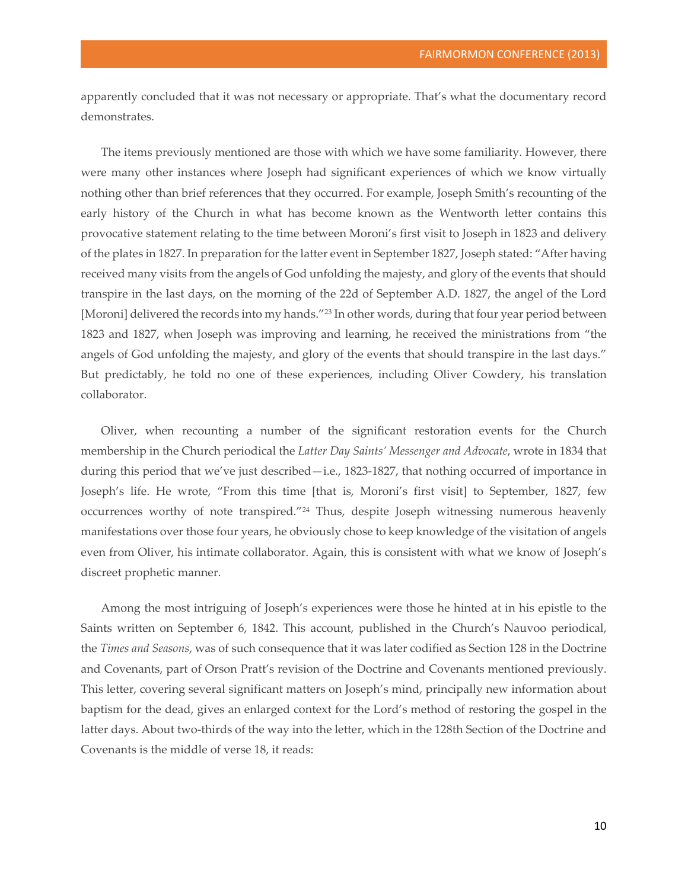apparently concluded that it was not necessary or appropriate. That's what the documentary record demonstrates.

The items previously mentioned are those with which we have some familiarity. However, there were many other instances where Joseph had significant experiences of which we know virtually nothing other than brief references that they occurred. For example, Joseph Smith's recounting of the early history of the Church in what has become known as the Wentworth letter contains this provocative statement relating to the time between Moroni's first visit to Joseph in 1823 and delivery of the plates in 1827. In preparation for the latter event in September 1827, Joseph stated: "After having received many visits from the angels of God unfolding the majesty, and glory of the events that should transpire in the last days, on the morning of the 22d of September A.D. 1827, the angel of the Lord [Moroni] delivered the records into my hands."<sup>23</sup> In other words, during that four year period between 1823 and 1827, when Joseph was improving and learning, he received the ministrations from "the angels of God unfolding the majesty, and glory of the events that should transpire in the last days." But predictably, he told no one of these experiences, including Oliver Cowdery, his translation collaborator.

Oliver, when recounting a number of the significant restoration events for the Church membership in the Church periodical the *Latter Day Saints' Messenger and Advocate*, wrote in 1834 that during this period that we've just described—i.e., 1823-1827, that nothing occurred of importance in Joseph's life. He wrote, "From this time [that is, Moroni's first visit] to September, 1827, few occurrences worthy of note transpired."24 Thus, despite Joseph witnessing numerous heavenly manifestations over those four years, he obviously chose to keep knowledge of the visitation of angels even from Oliver, his intimate collaborator. Again, this is consistent with what we know of Joseph's discreet prophetic manner.

Among the most intriguing of Joseph's experiences were those he hinted at in his epistle to the Saints written on September 6, 1842. This account, published in the Church's Nauvoo periodical, the *Times and Seasons*, was of such consequence that it was later codified as Section 128 in the Doctrine and Covenants, part of Orson Pratt's revision of the Doctrine and Covenants mentioned previously. This letter, covering several significant matters on Joseph's mind, principally new information about baptism for the dead, gives an enlarged context for the Lord's method of restoring the gospel in the latter days. About two-thirds of the way into the letter, which in the 128th Section of the Doctrine and Covenants is the middle of verse 18, it reads: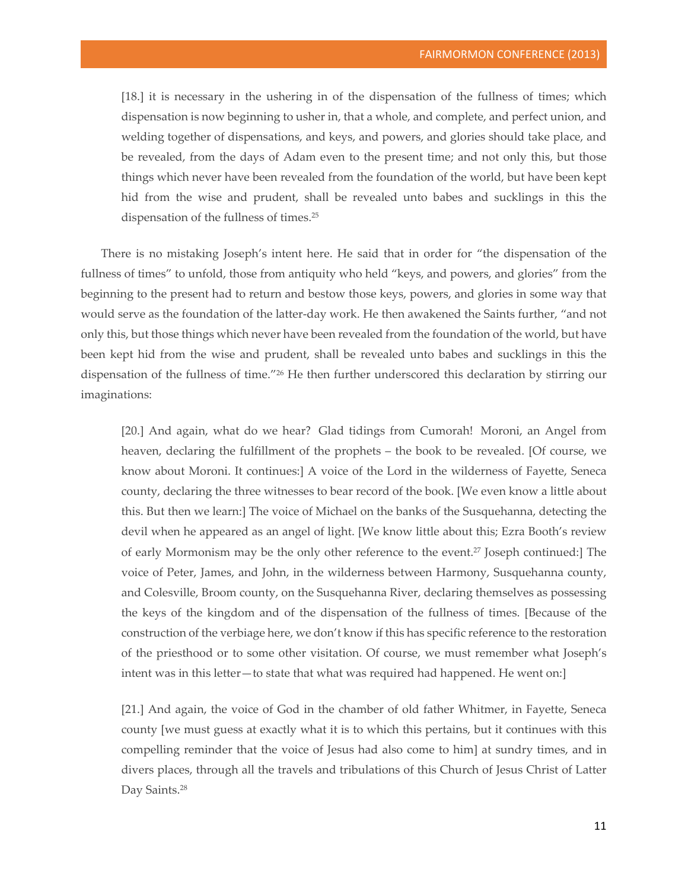[18.] it is necessary in the ushering in of the dispensation of the fullness of times; which dispensation is now beginning to usher in, that a whole, and complete, and perfect union, and welding together of dispensations, and keys, and powers, and glories should take place, and be revealed, from the days of Adam even to the present time; and not only this, but those things which never have been revealed from the foundation of the world, but have been kept hid from the wise and prudent, shall be revealed unto babes and sucklings in this the dispensation of the fullness of times.25

There is no mistaking Joseph's intent here. He said that in order for "the dispensation of the fullness of times" to unfold, those from antiquity who held "keys, and powers, and glories" from the beginning to the present had to return and bestow those keys, powers, and glories in some way that would serve as the foundation of the latter-day work. He then awakened the Saints further, "and not only this, but those things which never have been revealed from the foundation of the world, but have been kept hid from the wise and prudent, shall be revealed unto babes and sucklings in this the dispensation of the fullness of time."26 He then further underscored this declaration by stirring our imaginations:

[20.] And again, what do we hear? Glad tidings from Cumorah! Moroni, an Angel from heaven, declaring the fulfillment of the prophets – the book to be revealed. [Of course, we know about Moroni. It continues:] A voice of the Lord in the wilderness of Fayette, Seneca county, declaring the three witnesses to bear record of the book. [We even know a little about this. But then we learn:] The voice of Michael on the banks of the Susquehanna, detecting the devil when he appeared as an angel of light. [We know little about this; Ezra Booth's review of early Mormonism may be the only other reference to the event.27 Joseph continued:] The voice of Peter, James, and John, in the wilderness between Harmony, Susquehanna county, and Colesville, Broom county, on the Susquehanna River, declaring themselves as possessing the keys of the kingdom and of the dispensation of the fullness of times. [Because of the construction of the verbiage here, we don't know if this has specific reference to the restoration of the priesthood or to some other visitation. Of course, we must remember what Joseph's intent was in this letter—to state that what was required had happened. He went on:]

[21.] And again, the voice of God in the chamber of old father Whitmer, in Fayette, Seneca county [we must guess at exactly what it is to which this pertains, but it continues with this compelling reminder that the voice of Jesus had also come to him] at sundry times, and in divers places, through all the travels and tribulations of this Church of Jesus Christ of Latter Day Saints.<sup>28</sup>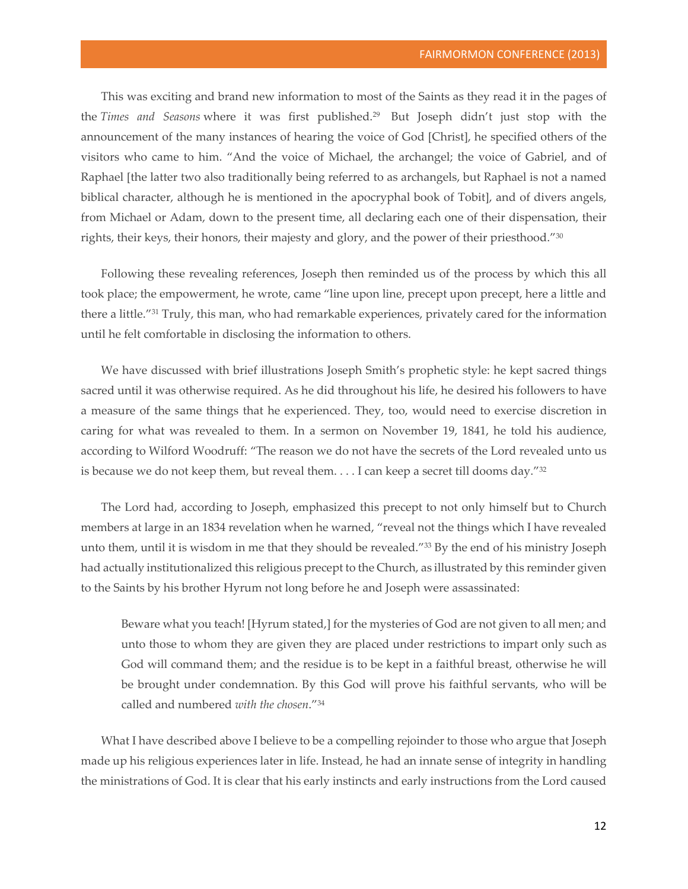This was exciting and brand new information to most of the Saints as they read it in the pages of the *Times and Seasons* where it was first published.29 But Joseph didn't just stop with the announcement of the many instances of hearing the voice of God [Christ], he specified others of the visitors who came to him. "And the voice of Michael, the archangel; the voice of Gabriel, and of Raphael [the latter two also traditionally being referred to as archangels, but Raphael is not a named biblical character, although he is mentioned in the apocryphal book of Tobit], and of divers angels, from Michael or Adam, down to the present time, all declaring each one of their dispensation, their rights, their keys, their honors, their majesty and glory, and the power of their priesthood."30

Following these revealing references, Joseph then reminded us of the process by which this all took place; the empowerment, he wrote, came "line upon line, precept upon precept, here a little and there a little."<sup>31</sup> Truly, this man, who had remarkable experiences, privately cared for the information until he felt comfortable in disclosing the information to others.

We have discussed with brief illustrations Joseph Smith's prophetic style: he kept sacred things sacred until it was otherwise required. As he did throughout his life, he desired his followers to have a measure of the same things that he experienced. They, too, would need to exercise discretion in caring for what was revealed to them. In a sermon on November 19, 1841, he told his audience, according to Wilford Woodruff: "The reason we do not have the secrets of the Lord revealed unto us is because we do not keep them, but reveal them.  $\dots$  I can keep a secret till dooms day."<sup>32</sup>

The Lord had, according to Joseph, emphasized this precept to not only himself but to Church members at large in an 1834 revelation when he warned, "reveal not the things which I have revealed unto them, until it is wisdom in me that they should be revealed."33 By the end of his ministry Joseph had actually institutionalized this religious precept to the Church, as illustrated by this reminder given to the Saints by his brother Hyrum not long before he and Joseph were assassinated:

Beware what you teach! [Hyrum stated,] for the mysteries of God are not given to all men; and unto those to whom they are given they are placed under restrictions to impart only such as God will command them; and the residue is to be kept in a faithful breast, otherwise he will be brought under condemnation. By this God will prove his faithful servants, who will be called and numbered *with the chosen*."34

What I have described above I believe to be a compelling rejoinder to those who argue that Joseph made up his religious experiences later in life. Instead, he had an innate sense of integrity in handling the ministrations of God. It is clear that his early instincts and early instructions from the Lord caused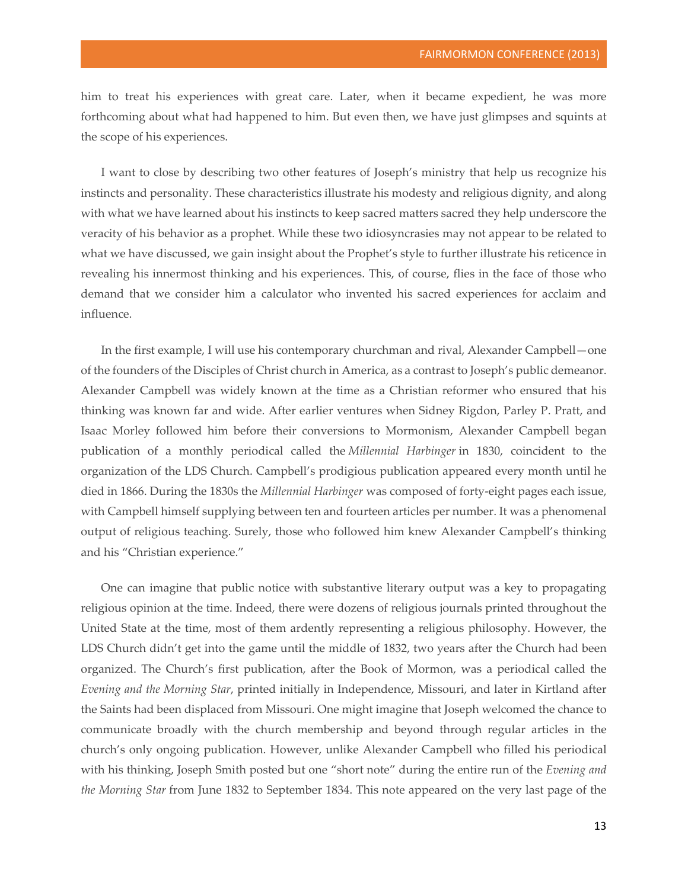him to treat his experiences with great care. Later, when it became expedient, he was more forthcoming about what had happened to him. But even then, we have just glimpses and squints at the scope of his experiences.

I want to close by describing two other features of Joseph's ministry that help us recognize his instincts and personality. These characteristics illustrate his modesty and religious dignity, and along with what we have learned about his instincts to keep sacred matters sacred they help underscore the veracity of his behavior as a prophet. While these two idiosyncrasies may not appear to be related to what we have discussed, we gain insight about the Prophet's style to further illustrate his reticence in revealing his innermost thinking and his experiences. This, of course, flies in the face of those who demand that we consider him a calculator who invented his sacred experiences for acclaim and influence.

In the first example, I will use his contemporary churchman and rival, Alexander Campbell—one of the founders of the Disciples of Christ church in America, as a contrast to Joseph's public demeanor. Alexander Campbell was widely known at the time as a Christian reformer who ensured that his thinking was known far and wide. After earlier ventures when Sidney Rigdon, Parley P. Pratt, and Isaac Morley followed him before their conversions to Mormonism, Alexander Campbell began publication of a monthly periodical called the *Millennial Harbinger* in 1830, coincident to the organization of the LDS Church. Campbell's prodigious publication appeared every month until he died in 1866. During the 1830s the *Millennial Harbinger* was composed of forty-eight pages each issue, with Campbell himself supplying between ten and fourteen articles per number. It was a phenomenal output of religious teaching. Surely, those who followed him knew Alexander Campbell's thinking and his "Christian experience."

One can imagine that public notice with substantive literary output was a key to propagating religious opinion at the time. Indeed, there were dozens of religious journals printed throughout the United State at the time, most of them ardently representing a religious philosophy. However, the LDS Church didn't get into the game until the middle of 1832, two years after the Church had been organized. The Church's first publication, after the Book of Mormon, was a periodical called the *Evening and the Morning Star*, printed initially in Independence, Missouri, and later in Kirtland after the Saints had been displaced from Missouri. One might imagine that Joseph welcomed the chance to communicate broadly with the church membership and beyond through regular articles in the church's only ongoing publication. However, unlike Alexander Campbell who filled his periodical with his thinking, Joseph Smith posted but one "short note" during the entire run of the *Evening and the Morning Star* from June 1832 to September 1834. This note appeared on the very last page of the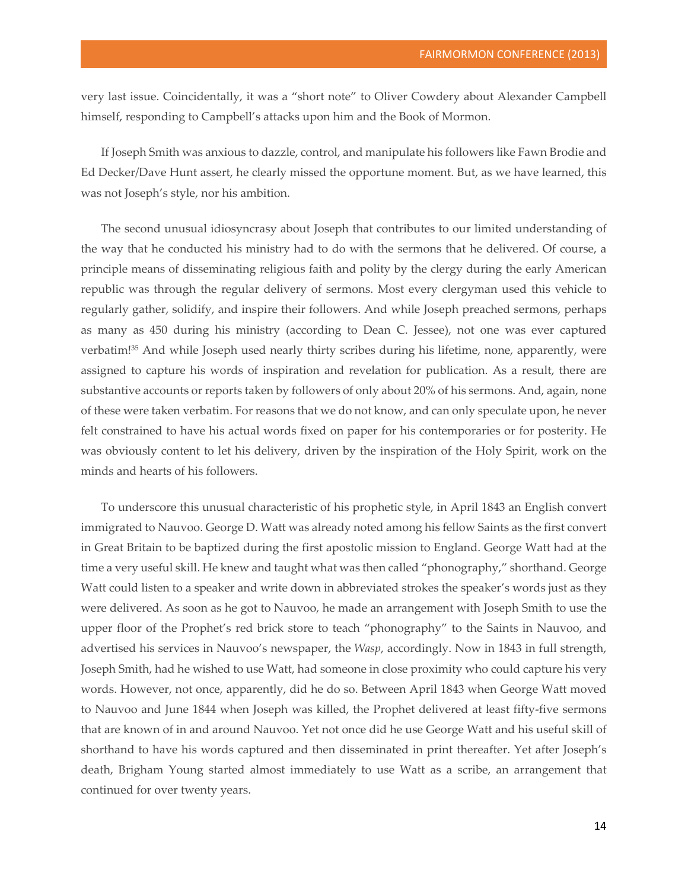very last issue. Coincidentally, it was a "short note" to Oliver Cowdery about Alexander Campbell himself, responding to Campbell's attacks upon him and the Book of Mormon.

If Joseph Smith was anxious to dazzle, control, and manipulate his followers like Fawn Brodie and Ed Decker/Dave Hunt assert, he clearly missed the opportune moment. But, as we have learned, this was not Joseph's style, nor his ambition.

The second unusual idiosyncrasy about Joseph that contributes to our limited understanding of the way that he conducted his ministry had to do with the sermons that he delivered. Of course, a principle means of disseminating religious faith and polity by the clergy during the early American republic was through the regular delivery of sermons. Most every clergyman used this vehicle to regularly gather, solidify, and inspire their followers. And while Joseph preached sermons, perhaps as many as 450 during his ministry (according to Dean C. Jessee), not one was ever captured verbatim!35 And while Joseph used nearly thirty scribes during his lifetime, none, apparently, were assigned to capture his words of inspiration and revelation for publication. As a result, there are substantive accounts or reports taken by followers of only about 20% of his sermons. And, again, none of these were taken verbatim. For reasons that we do not know, and can only speculate upon, he never felt constrained to have his actual words fixed on paper for his contemporaries or for posterity. He was obviously content to let his delivery, driven by the inspiration of the Holy Spirit, work on the minds and hearts of his followers.

To underscore this unusual characteristic of his prophetic style, in April 1843 an English convert immigrated to Nauvoo. George D. Watt was already noted among his fellow Saints as the first convert in Great Britain to be baptized during the first apostolic mission to England. George Watt had at the time a very useful skill. He knew and taught what was then called "phonography," shorthand. George Watt could listen to a speaker and write down in abbreviated strokes the speaker's words just as they were delivered. As soon as he got to Nauvoo, he made an arrangement with Joseph Smith to use the upper floor of the Prophet's red brick store to teach "phonography" to the Saints in Nauvoo, and advertised his services in Nauvoo's newspaper, the *Wasp*, accordingly. Now in 1843 in full strength, Joseph Smith, had he wished to use Watt, had someone in close proximity who could capture his very words. However, not once, apparently, did he do so. Between April 1843 when George Watt moved to Nauvoo and June 1844 when Joseph was killed, the Prophet delivered at least fifty-five sermons that are known of in and around Nauvoo. Yet not once did he use George Watt and his useful skill of shorthand to have his words captured and then disseminated in print thereafter. Yet after Joseph's death, Brigham Young started almost immediately to use Watt as a scribe, an arrangement that continued for over twenty years.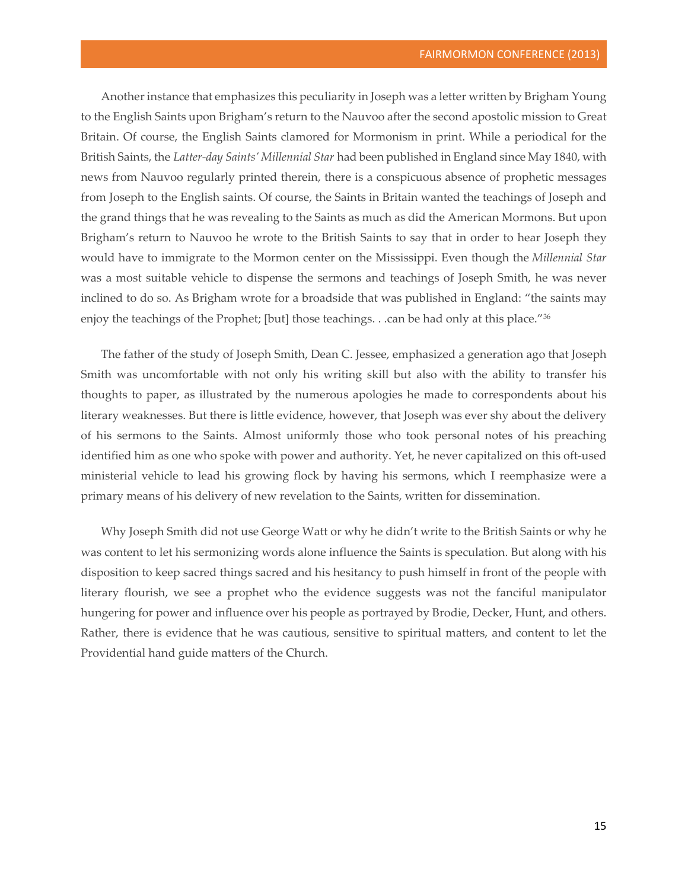Another instance that emphasizes this peculiarity in Joseph was a letter written by Brigham Young to the English Saints upon Brigham's return to the Nauvoo after the second apostolic mission to Great Britain. Of course, the English Saints clamored for Mormonism in print. While a periodical for the British Saints, the *Latter-day Saints' Millennial Star* had been published in England since May 1840, with news from Nauvoo regularly printed therein, there is a conspicuous absence of prophetic messages from Joseph to the English saints. Of course, the Saints in Britain wanted the teachings of Joseph and the grand things that he was revealing to the Saints as much as did the American Mormons. But upon Brigham's return to Nauvoo he wrote to the British Saints to say that in order to hear Joseph they would have to immigrate to the Mormon center on the Mississippi. Even though the *Millennial Star* was a most suitable vehicle to dispense the sermons and teachings of Joseph Smith, he was never inclined to do so. As Brigham wrote for a broadside that was published in England: "the saints may enjoy the teachings of the Prophet; [but] those teachings. . .can be had only at this place."<sup>36</sup>

The father of the study of Joseph Smith, Dean C. Jessee, emphasized a generation ago that Joseph Smith was uncomfortable with not only his writing skill but also with the ability to transfer his thoughts to paper, as illustrated by the numerous apologies he made to correspondents about his literary weaknesses. But there is little evidence, however, that Joseph was ever shy about the delivery of his sermons to the Saints. Almost uniformly those who took personal notes of his preaching identified him as one who spoke with power and authority. Yet, he never capitalized on this oft-used ministerial vehicle to lead his growing flock by having his sermons, which I reemphasize were a primary means of his delivery of new revelation to the Saints, written for dissemination.

Why Joseph Smith did not use George Watt or why he didn't write to the British Saints or why he was content to let his sermonizing words alone influence the Saints is speculation. But along with his disposition to keep sacred things sacred and his hesitancy to push himself in front of the people with literary flourish, we see a prophet who the evidence suggests was not the fanciful manipulator hungering for power and influence over his people as portrayed by Brodie, Decker, Hunt, and others. Rather, there is evidence that he was cautious, sensitive to spiritual matters, and content to let the Providential hand guide matters of the Church.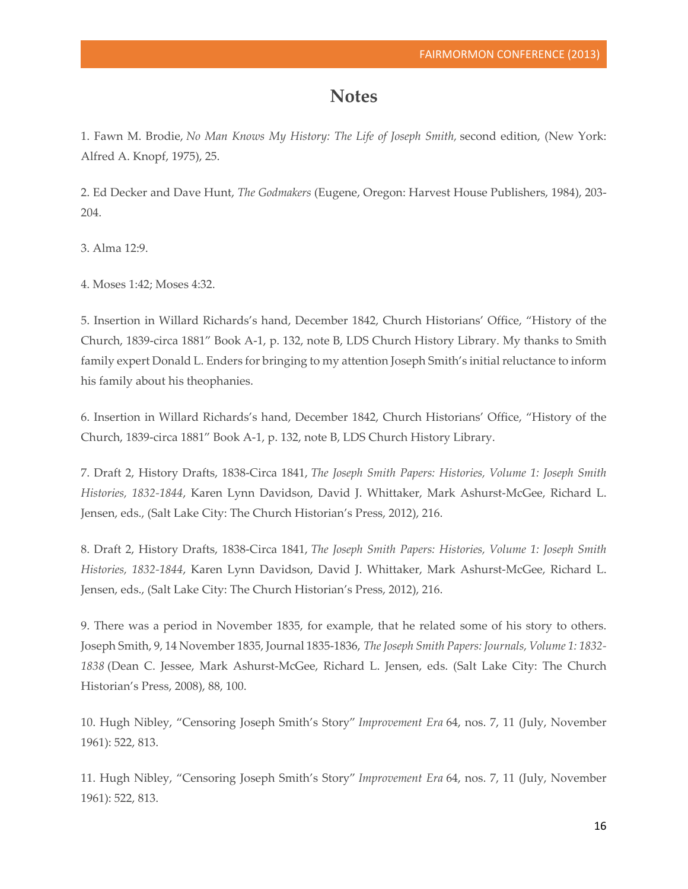## **Notes**

1. Fawn M. Brodie, *No Man Knows My History: The Life of Joseph Smith,* second edition, (New York: Alfred A. Knopf, 1975), 25.

2. Ed Decker and Dave Hunt, *The Godmakers* (Eugene, Oregon: Harvest House Publishers, 1984), 203- 204.

3. Alma 12:9.

4. Moses 1:42; Moses 4:32.

5. Insertion in Willard Richards's hand, December 1842, Church Historians' Office, "History of the Church, 1839-circa 1881" Book A-1, p. 132, note B, LDS Church History Library. My thanks to Smith family expert Donald L. Enders for bringing to my attention Joseph Smith's initial reluctance to inform his family about his theophanies.

6. Insertion in Willard Richards's hand, December 1842, Church Historians' Office, "History of the Church, 1839-circa 1881" Book A-1, p. 132, note B, LDS Church History Library.

7. Draft 2, History Drafts, 1838-Circa 1841, *The Joseph Smith Papers: Histories, Volume 1: Joseph Smith Histories, 1832-1844*, Karen Lynn Davidson, David J. Whittaker, Mark Ashurst-McGee, Richard L. Jensen, eds., (Salt Lake City: The Church Historian's Press, 2012), 216.

8. Draft 2, History Drafts, 1838-Circa 1841, *The Joseph Smith Papers: Histories, Volume 1: Joseph Smith Histories, 1832-1844*, Karen Lynn Davidson, David J. Whittaker, Mark Ashurst-McGee, Richard L. Jensen, eds., (Salt Lake City: The Church Historian's Press, 2012), 216.

9. There was a period in November 1835, for example, that he related some of his story to others. Joseph Smith, 9, 14 November 1835, Journal 1835-1836, *TheJoseph Smith Papers: Journals, Volume 1: 1832- 1838* (Dean C. Jessee, Mark Ashurst-McGee, Richard L. Jensen, eds. (Salt Lake City: The Church Historian's Press, 2008), 88, 100.

10. Hugh Nibley, "Censoring Joseph Smith's Story" *Improvement Era* 64, nos. 7, 11 (July, November 1961): 522, 813.

11. Hugh Nibley, "Censoring Joseph Smith's Story" *Improvement Era* 64, nos. 7, 11 (July, November 1961): 522, 813.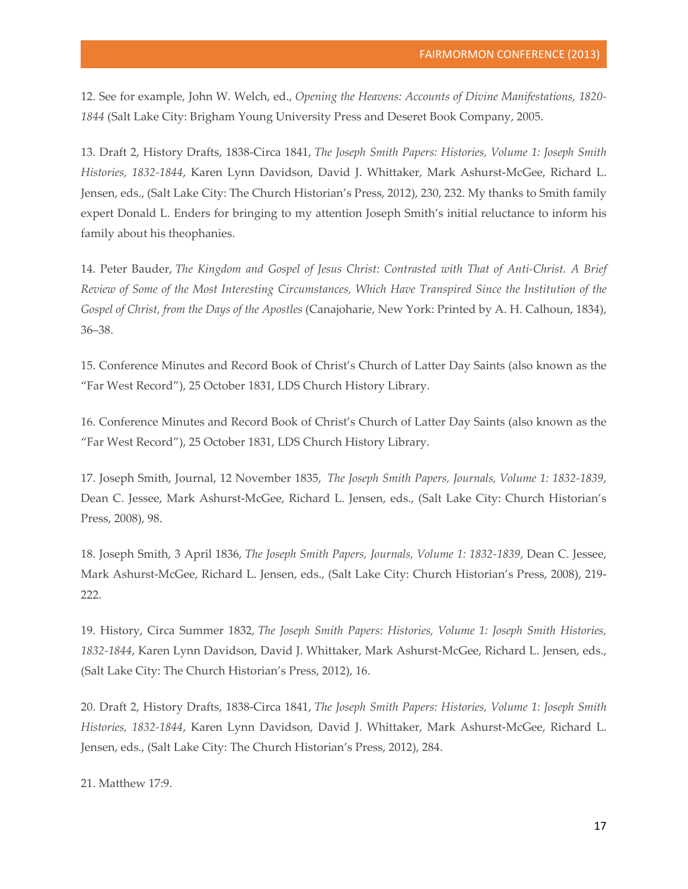12. See for example, John W. Welch, ed., *Opening the Heavens: Accounts of Divine Manifestations, 1820- 1844* (Salt Lake City: Brigham Young University Press and Deseret Book Company, 2005.

13. Draft 2, History Drafts, 1838-Circa 1841, *The Joseph Smith Papers: Histories, Volume 1: Joseph Smith Histories, 1832-1844*, Karen Lynn Davidson, David J. Whittaker, Mark Ashurst-McGee, Richard L. Jensen, eds., (Salt Lake City: The Church Historian's Press, 2012), 230, 232. My thanks to Smith family expert Donald L. Enders for bringing to my attention Joseph Smith's initial reluctance to inform his family about his theophanies.

14. Peter Bauder, *The Kingdom and Gospel of Jesus Christ: Contrasted with That of Anti-Christ. A Brief Review of Some of the Most Interesting Circumstances, Which Have Transpired Since the Institution of the Gospel of Christ, from the Days of the Apostles* (Canajoharie, New York: Printed by A. H. Calhoun, 1834), 36–38.

15. Conference Minutes and Record Book of Christ's Church of Latter Day Saints (also known as the "Far West Record"), 25 October 1831, LDS Church History Library.

16. Conference Minutes and Record Book of Christ's Church of Latter Day Saints (also known as the "Far West Record"), 25 October 1831, LDS Church History Library.

17. Joseph Smith, Journal, 12 November 1835, *The Joseph Smith Papers, Journals, Volume 1: 1832-1839*, Dean C. Jessee, Mark Ashurst-McGee, Richard L. Jensen, eds., (Salt Lake City: Church Historian's Press, 2008), 98.

18. Joseph Smith, 3 April 1836, *The Joseph Smith Papers, Journals, Volume 1: 1832-1839*, Dean C. Jessee, Mark Ashurst-McGee, Richard L. Jensen, eds., (Salt Lake City: Church Historian's Press, 2008), 219- 222.

19. History, Circa Summer 1832, *The Joseph Smith Papers: Histories, Volume 1: Joseph Smith Histories, 1832-1844*, Karen Lynn Davidson, David J. Whittaker, Mark Ashurst-McGee, Richard L. Jensen, eds., (Salt Lake City: The Church Historian's Press, 2012), 16.

20. Draft 2, History Drafts, 1838-Circa 1841, *The Joseph Smith Papers: Histories, Volume 1: Joseph Smith Histories, 1832-1844*, Karen Lynn Davidson, David J. Whittaker, Mark Ashurst-McGee, Richard L. Jensen, eds., (Salt Lake City: The Church Historian's Press, 2012), 284.

21. Matthew 17:9.